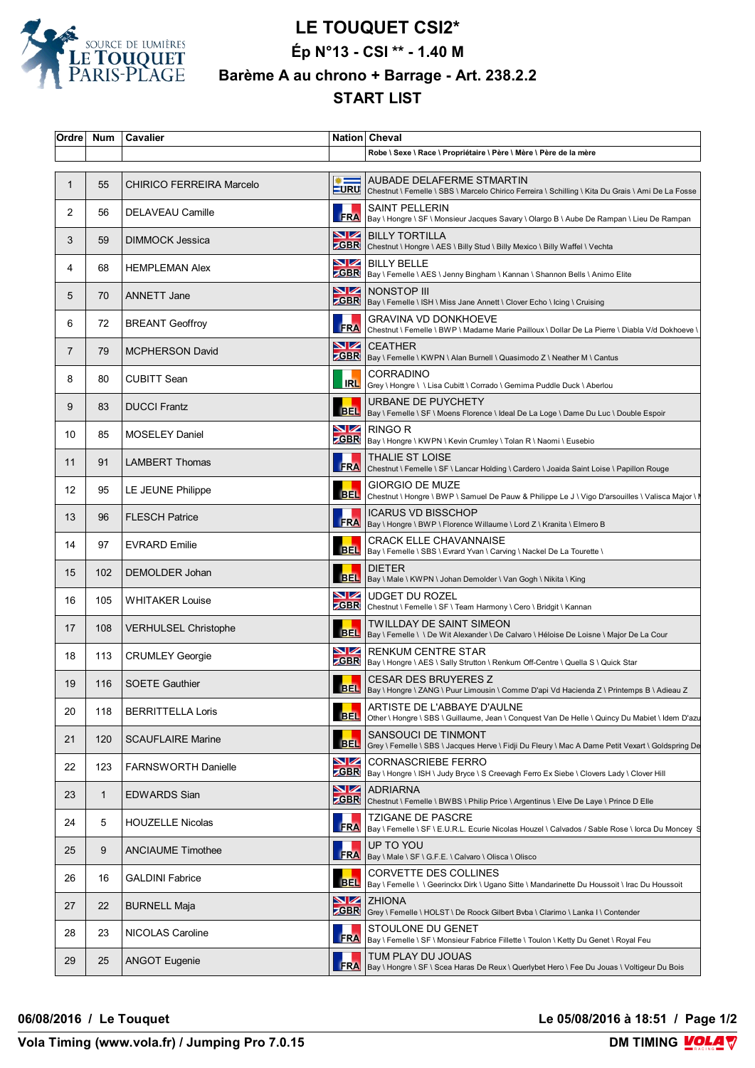

## **LE TOUQUET CSI2\* Ép N°13 - CSI \*\* - 1.40 M Barème A au chrono + Barrage - Art. 238.2.2 START LIST**

| Ordre | Num | Cavalier                    |                              | Nation Cheval                                                                                                                           |
|-------|-----|-----------------------------|------------------------------|-----------------------------------------------------------------------------------------------------------------------------------------|
|       |     |                             |                              | Robe \ Sexe \ Race \ Propriétaire \ Père \ Mère \ Père de la mère                                                                       |
| 1     | 55  | CHIRICO FERREIRA Marcelo    | $\frac{1}{2}$<br><b>LURU</b> | AUBADE DELAFERME STMARTIN<br>Chestnut \ Femelle \ SBS \ Marcelo Chirico Ferreira \ Schilling \ Kita Du Grais \ Ami De La Fosse          |
| 2     | 56  | <b>DELAVEAU Camille</b>     |                              | <b>SAINT PELLERIN</b><br>SAINT PELLERIN<br>FRA Bay \ Hongre \ SF \ Monsieur Jacques Savary \ Olargo B \ Aube De Rampan \ Lieu De Rampan |
| 3     | 59  | DIMMOCK Jessica             |                              | <b>NZ</b> BILLY TORTILLA<br><b>ZGBR</b> Chestnut \ Hongre \ AES \ Billy Stud \ Billy Mexico \ Billy Waffel \ Vechta                     |
| 4     | 68  | <b>HEMPLEMAN Alex</b>       |                              | <b>NZ</b> BILLY BELLE<br><b>ZGBR</b>   Bay \ Femelle \ AES \ Jenny Bingham \ Kannan \ Shannon Bells \ Animo Elite                       |
| 5     | 70  | <b>ANNETT Jane</b>          |                              | <b>NZ NONSTOP III</b><br>EGBR   Bay \ Femelle \ ISH \ Miss Jane Annett \ Clover Echo \ Icing \ Cruising                                 |
| 6     | 72  | <b>BREANT Geoffroy</b>      | <b>FRA</b>                   | <b>GRAVINA VD DONKHOEVE</b><br>Chestnut \ Femelle \ BWP \ Madame Marie Pailloux \ Dollar De La Pierre \ Diabla V/d Dokhoeve \           |
| 7     | 79  | <b>MCPHERSON David</b>      |                              | <b>NZ</b> CEATHER<br><b>ZGBR</b> Bay \ Femelle \ KWPN \ Alan Burnell \ Quasimodo Z \ Neather M \ Cantus                                 |
| 8     | 80  | <b>CUBITT Sean</b>          |                              | <b>CORRADINO</b><br>IRL Grey \ Hongre \ \ Lisa Cubitt \ Corrado \ Gemima Puddle Duck \ Aberlou                                          |
| 9     | 83  | <b>DUCCI Frantz</b>         |                              | URBANE DE PUYCHETY<br>BEL   Bay \ Femelle \ SF \ Moens Florence \ Ideal De La Loge \ Dame Du Luc \ Double Espoir                        |
| 10    | 85  | <b>MOSELEY Daniel</b>       |                              | <b>NZ</b> RINGO R<br><b>CGBR</b>   Bay \ Hongre \ KWPN \ Kevin Crumley \ Tolan R \ Naomi \ Eusebio                                      |
| 11    | 91  | <b>LAMBERT Thomas</b>       |                              | <b>THALIE ST LOISE</b><br>FRA Chestnut \ Femelle \ SF \ Lancar Holding \ Cardero \ Joaida Saint Loise \ Papillon Rouge                  |
| 12    | 95  | LE JEUNE Philippe           | <b>BEL</b>                   | <b>GIORGIO DE MUZE</b><br>Chestnut \ Hongre \ BWP \ Samuel De Pauw & Philippe Le J \ Vigo D'arsouilles \ Valisca Major \ I              |
| 13    | 96  | <b>FLESCH Patrice</b>       |                              | <b>ICARUS VD BISSCHOP</b><br>FRA   CARUS VL BISSUNUF<br>FRA   Bay \ Hongre \ BWP \ Florence Willaume \ Lord Z \ Kranita \ Elmero B      |
| 14    | 97  | <b>EVRARD Emilie</b>        |                              | <b>CRACK ELLE CHAVANNAISE</b><br>BEL   Bay \ Femelle \ SBS \ Evrard Yvan \ Carving \ Nackel De La Tourette \                            |
| 15    | 102 | DEMOLDER Johan              |                              | <b>DIETER</b><br>BEL  Bay \ Male \ KWPN \ Johan Demolder \ Van Gogh \ Nikita \ King                                                     |
| 16    | 105 | <b>WHITAKER Louise</b>      | VZ                           | <b>UDGET DU ROZEL</b><br><b>CGBR</b> Chestnut \ Femelle \ SF \ Team Harmony \ Cero \ Bridgit \ Kannan                                   |
| 17    | 108 | <b>VERHULSEL Christophe</b> |                              | TWILLDAY DE SAINT SIMEON<br>BEL   Bay \ Femelle \ \ De Wit Alexander \ De Calvaro \ Héloise De Loisne \ Major De La Cour                |
| 18    | 113 | <b>CRUMLEY Georgie</b>      |                              | <b>NZ</b> RENKUM CENTRE STAR<br><b>CGBR</b> Bay \ Hongre \ AES \ Sally Strutton \ Renkum Off-Centre \ Quella S \ Quick Star             |
| 19    | 116 | <b>SOETE Gauthier</b>       |                              | <b>CESAR DES BRUYERES Z</b><br>BEL   Bay \ Hongre \ ZANG \ Puur Limousin \ Comme D'api Vd Hacienda Z \ Printemps B \ Adieau Z           |
| 20    | 118 | <b>BERRITTELLA Loris</b>    | <b>BEL</b>                   | ARTISTE DE L'ABBAYE D'AULNE<br>Other \ Hongre \ SBS \ Guillaume, Jean \ Conquest Van De Helle \ Quincy Du Mabiet \ Idem D'azu           |
| 21    | 120 | <b>SCAUFLAIRE Marine</b>    | <b>BEL</b>                   | SANSOUCI DE TINMONT<br>Grey \ Femelle \ SBS \ Jacques Herve \ Fidji Du Fleury \ Mac A Dame Petit Vexart \ Goldspring De                 |
| 22    | 123 | <b>FARNSWORTH Danielle</b>  | VZ                           | <b>CORNASCRIEBE FERRO</b><br>ZGBR   Bay \ Hongre \ ISH \ Judy Bryce \ S Creevagh Ferro Ex Siebe \ Clovers Lady \ Clover Hill            |
| 23    | 1   | <b>EDWARDS Sian</b>         |                              | <b>NZ</b> ADRIARNA<br><b>CGBR</b> Chestnut \ Femelle \ BWBS \ Philip Price \ Argentinus \ Elve De Laye \ Prince D Elle                  |
| 24    | 5   | <b>HOUZELLE Nicolas</b>     |                              | <b>TZIGANE DE PASCRE</b><br>FRA   Bay \ Femelle \ SF \ E.U.R.L. Ecurie Nicolas Houzel \ Calvados / Sable Rose \ lorca Du Moncey S       |
| 25    | 9   | <b>ANCIAUME Timothee</b>    |                              | UP TO YOU<br>FRA   Bay \ Male \ SF \ G.F.E. \ Calvaro \ Olisca \ Olisco                                                                 |
| 26    | 16  | <b>GALDINI Fabrice</b>      | <b>BEL</b>                   | CORVETTE DES COLLINES<br>Bay \ Femelle \ \ Geerinckx Dirk \ Ugano Sitte \ Mandarinette Du Houssoit \ Irac Du Houssoit                   |
| 27    | 22  | <b>BURNELL Maja</b>         | <u>NZ</u>                    | <b>ZHIONA</b><br><b>ZGBR</b> Grey \ Femelle \ HOLST \ De Roock Gilbert Bvba \ Clarimo \ Lanka I \ Contender                             |
| 28    | 23  | NICOLAS Caroline            | <b>FRA</b>                   | STOULONE DU GENET<br>Bay \ Femelle \ SF \ Monsieur Fabrice Fillette \ Toulon \ Ketty Du Genet \ Royal Feu                               |
| 29    | 25  | <b>ANGOT Eugenie</b>        | <b>FRA</b>                   | TUM PLAY DU JOUAS<br>Bay \ Hongre \ SF \ Scea Haras De Reux \ Querlybet Hero \ Fee Du Jouas \ Voltigeur Du Bois                         |

**06/08/2016 / Le Touquet Le 05/08/2016 à 18:51 / Page 1/2**